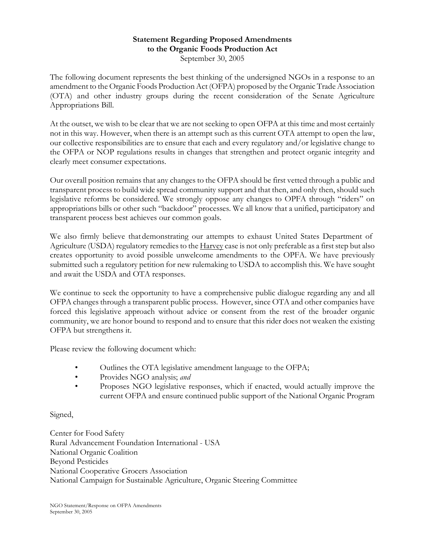## **Statement Regarding Proposed Amendments** to the Organic Foods Production Act September 30, 2005

The following document represents the best thinking of the undersigned NGOs in a response to an amendment to the Organic Foods Production Act (OFPA) proposed by the Organic Trade Association (OTA) and other industry groups during the recent consideration of the Senate Agriculture Appropriations Bill.

At the outset, we wish to be clear that we are not seeking to open OFPA at this time and most certainly not in this way. However, when there is an attempt such as this current OTA attempt to open the law, our collective responsibilities are to ensure that each and every regulatory and/or legislative change to the OFPA or NOP regulations results in changes that strengthen and protect organic integrity and clearly meet consumer expectations.

Our overall position remains that any changes to the OFPA should be first vetted through a public and transparent process to build wide spread community support and that then, and only then, should such legislative reforms be considered. We strongly oppose any changes to OPFA through "riders" on appropriations bills or other such "backdoor" processes. We all know that a unified, participatory and transparent process best achieves our common goals.

We also firmly believe that demonstrating our attempts to exhaust United States Department of Agriculture (USDA) regulatory remedies to the Harvey case is not only preferable as a first step but also creates opportunity to avoid possible unwelcome amendments to the OPFA. We have previously submitted such a regulatory petition for new rulemaking to USDA to accomplish this. We have sought and await the USDA and OTA responses.

We continue to seek the opportunity to have a comprehensive public dialogue regarding any and all OFPA changes through a transparent public process. However, since OTA and other companies have forced this legislative approach without advice or consent from the rest of the broader organic community, we are honor bound to respond and to ensure that this rider does not weaken the existing OFPA but strengthens it.

Please review the following document which:

- Outlines the OTA legislative amendment language to the OFPA;  $\bullet$
- $\bullet$ Provides NGO analysis; and
- Proposes NGO legislative responses, which if enacted, would actually improve the  $\bullet$ current OFPA and ensure continued public support of the National Organic Program

# Signed,

Center for Food Safety Rural Advancement Foundation International - USA National Organic Coalition **Beyond Pesticides** National Cooperative Grocers Association National Campaign for Sustainable Agriculture, Organic Steering Committee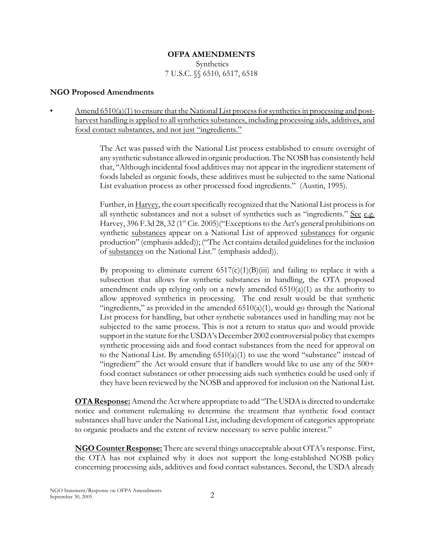# **OFPA AMENDMENTS** Synthetics 7 U.S.C.  $\%$  6510, 6517, 6518

#### **NGO Proposed Amendments**

Amend  $6510(a)(1)$  to ensure that the National List process for synthetics in processing and postharvest handling is applied to all synthetics substances, including processing aids, additives, and food contact substances, and not just "ingredients."

> The Act was passed with the National List process established to ensure oversight of any synthetic substance allowed in organic production. The NOSB has consistently held that, "Although incidental food additives may not appear in the ingredient statement of foods labeled as organic foods, these additives must be subjected to the same National List evaluation process as other processed food ingredients." (Austin, 1995).

> Further, in Harvey, the court specifically recognized that the National List process is for all synthetic substances and not a subset of synthetics such as "ingredients." See e.g. Harvey, 396 F.3d 28, 32 (1<sup>st</sup> Cir. 2005)("Exceptions to the Act's general prohibitions on synthetic substances appear on a National List of approved substances for organic production" (emphasis added)); ("The Act contains detailed guidelines for the inclusion of substances on the National List." (emphasis added)).

> By proposing to eliminate current  $6517(c)(1)(B)(iii)$  and failing to replace it with a subsection that allows for synthetic substances in handling, the OTA proposed amendment ends up relying only on a newly amended  $(510(a)(1))$  as the authority to allow approved synthetics in processing. The end result would be that synthetic "ingredients," as provided in the amended  $6510(a)(1)$ , would go through the National List process for handling, but other synthetic substances used in handling may not be subjected to the same process. This is not a return to status quo and would provide support in the statute for the USDA's December 2002 controversial policy that exempts synthetic processing aids and food contact substances from the need for approval on to the National List. By amending  $6510(a)(1)$  to use the word "substance" instead of "ingredient" the Act would ensure that if handlers would like to use any of the 500+ food contact substances or other processing aids such synthetics could be used only if they have been reviewed by the NOSB and approved for inclusion on the National List.

**OTA Response:** Amend the Act where appropriate to add "The USDA is directed to undertake notice and comment rulemaking to determine the treatment that synthetic food contact substances shall have under the National List, including development of categories appropriate to organic products and the extent of review necessary to serve public interest."

NGO Counter Response: There are several things unacceptable about OTA's response. First, the OTA has not explained why it does not support the long-established NOSB policy concerning processing aids, additives and food contact substances. Second, the USDA already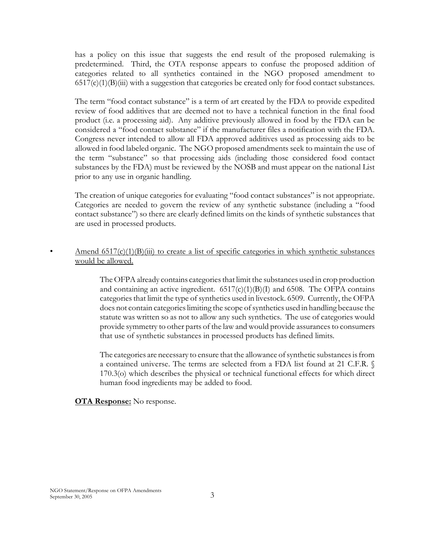has a policy on this issue that suggests the end result of the proposed rulemaking is predetermined. Third, the OTA response appears to confuse the proposed addition of categories related to all synthetics contained in the NGO proposed amendment to  $6517(c)(1)(B)(iii)$  with a suggestion that categories be created only for food contact substances.

The term "food contact substance" is a term of art created by the FDA to provide expedited review of food additives that are deemed not to have a technical function in the final food product (i.e. a processing aid). Any additive previously allowed in food by the FDA can be considered a "food contact substance" if the manufacturer files a notification with the FDA. Congress never intended to allow all FDA approved additives used as processing aids to be allowed in food labeled organic. The NGO proposed amendments seek to maintain the use of the term "substance" so that processing aids (including those considered food contact substances by the FDA) must be reviewed by the NOSB and must appear on the national List prior to any use in organic handling.

The creation of unique categories for evaluating "food contact substances" is not appropriate. Categories are needed to govern the review of any synthetic substance (including a "food contact substance") so there are clearly defined limits on the kinds of synthetic substances that are used in processed products.

# Amend  $6517(c)(1)(B)(iii)$  to create a list of specific categories in which synthetic substances would be allowed.

The OFPA already contains categories that limit the substances used in crop production and containing an active ingredient.  $6517(c)(1)(B)(I)$  and 6508. The OFPA contains categories that limit the type of synthetics used in livestock. 6509. Currently, the OFPA does not contain categories limiting the scope of synthetics used in handling because the statute was written so as not to allow any such synthetics. The use of categories would provide symmetry to other parts of the law and would provide assurances to consumers that use of synthetic substances in processed products has defined limits.

The categories are necessary to ensure that the allowance of synthetic substances is from a contained universe. The terms are selected from a FDA list found at 21 C.F.R. 170.3(o) which describes the physical or technical functional effects for which direct human food ingredients may be added to food.

#### **OTA Response:** No response.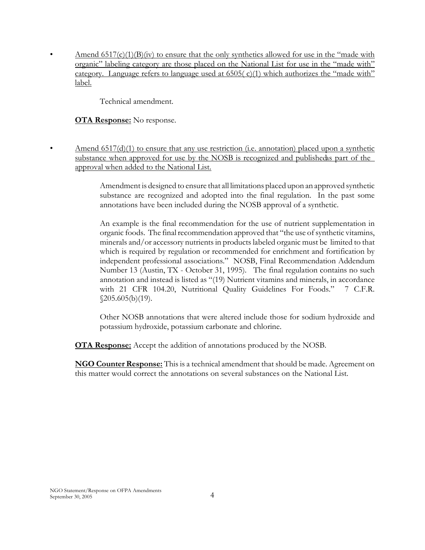Amend  $6517(c)(1)(B)(iv)$  to ensure that the only synthetics allowed for use in the "made with organic" labeling category are those placed on the National List for use in the "made with" category. Language refers to language used at 6505(c)(1) which authorizes the "made with" label.

Technical amendment.

**OTA Response:** No response.

Amend  $6517(d)(1)$  to ensure that any use restriction (i.e. annotation) placed upon a synthetic substance when approved for use by the NOSB is recognized and publisheds part of the approval when added to the National List.

Amendment is designed to ensure that all limitations placed upon an approved synthetic substance are recognized and adopted into the final regulation. In the past some annotations have been included during the NOSB approval of a synthetic.

An example is the final recommendation for the use of nutrient supplementation in organic foods. The final recommendation approved that "the use of synthetic vitamins, minerals and/or accessory nutrients in products labeled organic must be limited to that which is required by regulation or recommended for enrichment and fortification by independent professional associations." NOSB, Final Recommendation Addendum Number 13 (Austin, TX - October 31, 1995). The final regulation contains no such annotation and instead is listed as "(19) Nutrient vitamins and minerals, in accordance with 21 CFR 104.20, Nutritional Quality Guidelines For Foods." 7 C.F.R.  $$205.605(b)(19).$ 

Other NOSB annotations that were altered include those for sodium hydroxide and potassium hydroxide, potassium carbonate and chlorine.

**OTA Response:** Accept the addition of annotations produced by the NOSB.

**NGO Counter Response:** This is a technical amendment that should be made. Agreement on this matter would correct the annotations on several substances on the National List.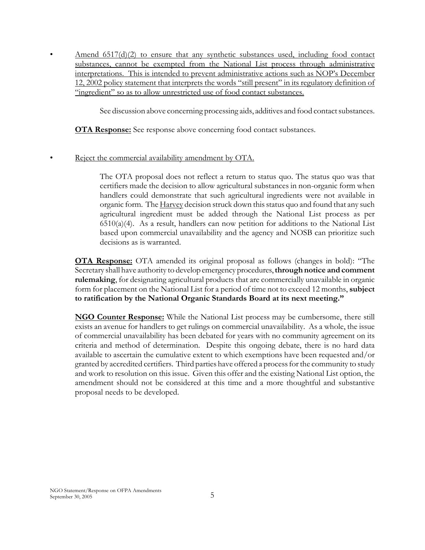Amend  $6517(d)(2)$  to ensure that any synthetic substances used, including food contact substances, cannot be exempted from the National List process through administrative interpretations. This is intended to prevent administrative actions such as NOP's December 12, 2002 policy statement that interprets the words "still present" in its regulatory definition of "ingredient" so as to allow unrestricted use of food contact substances.

See discussion above concerning processing aids, additives and food contact substances.

**OTA Response:** See response above concerning food contact substances.

Reject the commercial availability amendment by OTA.

The OTA proposal does not reflect a return to status quo. The status quo was that certifiers made the decision to allow agricultural substances in non-organic form when handlers could demonstrate that such agricultural ingredients were not available in organic form. The Harvey decision struck down this status quo and found that any such agricultural ingredient must be added through the National List process as per  $6510(a)(4)$ . As a result, handlers can now petition for additions to the National List based upon commercial unavailability and the agency and NOSB can prioritize such decisions as is warranted.

**OTA Response:** OTA amended its original proposal as follows (changes in bold): "The Secretary shall have authority to develop emergency procedures, through notice and comment rulemaking, for designating agricultural products that are commercially unavailable in organic form for placement on the National List for a period of time not to exceed 12 months, subject to ratification by the National Organic Standards Board at its next meeting."

**NGO Counter Response:** While the National List process may be cumbersome, there still exists an avenue for handlers to get rulings on commercial unavailability. As a whole, the issue of commercial unavailability has been debated for years with no community agreement on its criteria and method of determination. Despite this ongoing debate, there is no hard data available to ascertain the cumulative extent to which exemptions have been requested and/or granted by accredited certifiers. Third parties have offered a process for the community to study and work to resolution on this issue. Given this offer and the existing National List option, the amendment should not be considered at this time and a more thoughtful and substantive proposal needs to be developed.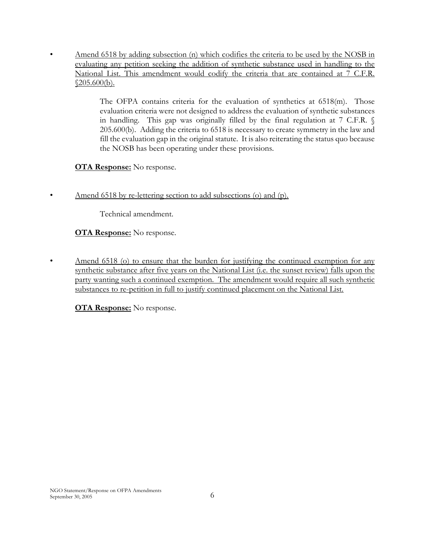Amend 6518 by adding subsection (n) which codifies the criteria to be used by the NOSB in evaluating any petition seeking the addition of synthetic substance used in handling to the National List. This amendment would codify the criteria that are contained at 7 C.F.R.  $$205.600(b).$ 

> The OFPA contains criteria for the evaluation of synthetics at  $6518$ (m). Those evaluation criteria were not designed to address the evaluation of synthetic substances in handling. This gap was originally filled by the final regulation at 7 C.F.R. § 205.600(b). Adding the criteria to 6518 is necessary to create symmetry in the law and fill the evaluation gap in the original statute. It is also reiterating the status quo because the NOSB has been operating under these provisions.

**OTA Response:** No response.

 $\bullet$ 

Amend 6518 by re-lettering section to add subsections (o) and (p).

Technical amendment.

**OTA Response:** No response.

Amend 6518 (o) to ensure that the burden for justifying the continued exemption for any  $\bullet$ synthetic substance after five years on the National List (i.e. the sunset review) falls upon the party wanting such a continued exemption. The amendment would require all such synthetic substances to re-petition in full to justify continued placement on the National List.

**OTA Response:** No response.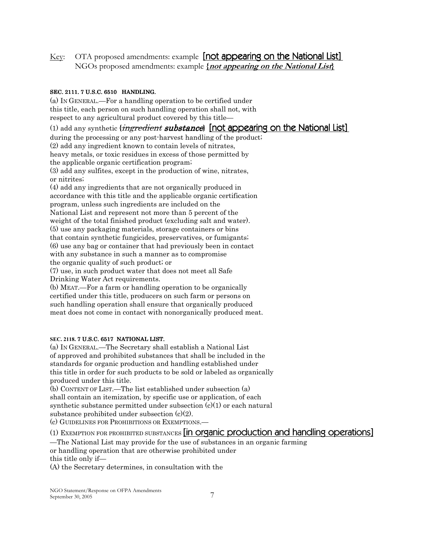OTA proposed amendments: example [not appearing on the National List] Key: NGOs proposed amendments: example *{not appearing on the National List}* 

#### SEC. 2111. 7 U.S.C. 6510 HANDLING.

(a) IN GENERAL—For a handling operation to be certified under this title, each person on such handling operation shall not, with respect to any agricultural product covered by this title—

(1) add any synthetic *{ingredient substance}* [not appearing on the National List] during the processing or any post-harvest handling of the product; (2) add any ingredient known to contain levels of nitrates, heavy metals, or toxic residues in excess of those permitted by the applicable organic certification program; (3) add any sulfites, except in the production of wine, nitrates, or nitrites; (4) add any ingredients that are not organically produced in accordance with this title and the applicable organic certification program, unless such ingredients are included on the National List and represent not more than 5 percent of the weight of the total finished product (excluding salt and water). (5) use any packaging materials, storage containers or bins that contain synthetic fungicides, preservatives, or fumigants. (6) use any bag or container that had previously been in contact with any substance in such a manner as to compromise the organic quality of such product; or (7) use, in such product water that does not meet all Safe Drinking Water Act requirements.

(b) MEAT.—For a farm or handling operation to be organically certified under this title, producers on such farm or persons on such handling operation shall ensure that organically produced meat does not come in contact with nonorganically produced meat.

#### SEC. 2118. 7 U.S.C. 6517 NATIONAL LIST.

(a) IN GENERAL.—The Secretary shall establish a National List of approved and prohibited substances that shall be included in the standards for organic production and handling established under this title in order for such products to be sold or labeled as organically produced under this title.

(b) CONTENT OF LIST.—The list established under subsection (a) shall contain an itemization, by specific use or application, of each synthetic substance permitted under subsection  $(c)(1)$  or each natural substance prohibited under subsection  $(c)(2)$ .

(c) GUIDELINES FOR PROHIBITIONS OR EXEMPTIONS.

## (1) EXEMPTION FOR PROHIBITED SUBSTANCES [in organic production and handling operations]

The National List may provide for the use of substances in an organic farming or handling operation that are otherwise prohibited under this title only if-

(A) the Secretary determines, in consultation with the

NGO Statement/Response on OFPA Amendments September 30, 2005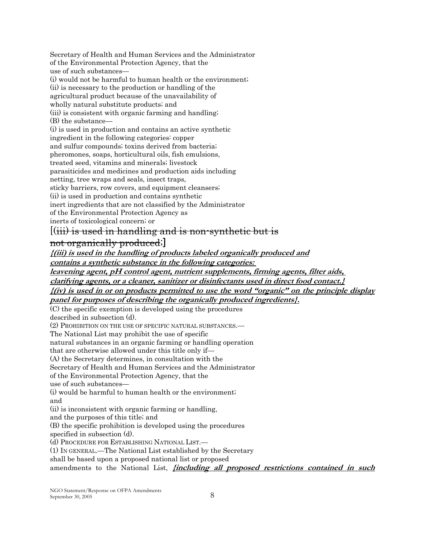Secretary of Health and Human Services and the Administrator of the Environmental Protection Agency, that the use of such substances—

(i) would not be harmful to human health or the environment. (ii) is necessary to the production or handling of the agricultural product because of the unavailability of wholly natural substitute products; and (iii) is consistent with organic farming and handling. (B) the substance— (i) is used in production and contains an active synthetic ingredient in the following categories: copper and sulfur compounds; toxins derived from bacteria; pheromones, soaps, horticultural oils, fish emulsions, treated seed, vitamins and minerals; livestock parasiticides and medicines and production aids including netting, tree wraps and seals, insect traps, sticky barriers, row covers, and equipment cleansers; (ii) is used in production and contains synthetic inert ingredients that are not classified by the Administrator of the Environmental Protection Agency as

inerts of toxicological concern; or

# $\left(\frac{1}{111}\right)$  is used in handling and is non-synthetic but is

# not organically produced;

*{(iii) is used in the handling of products labeled organically produced and* contains a synthetic substance in the following categories:

<u>leavening agent, pH control agent, nutrient supplements, firming agents, filter aids,</u>

clarifying agents, or a cleaner, sanitizer or disinfectants used in direct food contact.}

 $f(iv)$  is used in or on products permitted to use the word "organic" on the principle display

panel for purposes of describing the organically produced ingredients?.

(C) the specific exemption is developed using the procedures

described in subsection (d).

(2) PROHIBITION ON THE USE OF SPECIFIC NATURAL SUBSTANCES.—

The National List may prohibit the use of specific

natural substances in an organic farming or handling operation

that are otherwise allowed under this title only if-

(A) the Secretary determines, in consultation with the

Secretary of Health and Human Services and the Administrator

of the Environmental Protection Agency, that the

use of such substances-

(i) would be harmful to human health or the environment. and

(ii) is inconsistent with organic farming or handling,

and the purposes of this title; and

(B) the specific prohibition is developed using the procedures

specified in subsection (d).

(d) PROCEDURE FOR ESTABLISHING NATIONAL LIST.

(1) IN GENERAL.—The National List established by the Secretary

shall be based upon a proposed national list or proposed

amendments to the National List, *fincluding all proposed restrictions contained in such*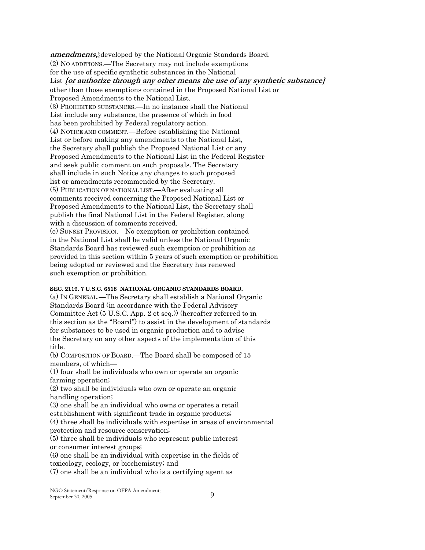**amendments,** developed by the National Organic Standards Board. (2) No ADDITIONS.—The Secretary may not include exemptions for the use of specific synthetic substances in the National List for authorize through any other means the use of any synthetic substance  $\}$ other than those exemptions contained in the Proposed National List or Proposed Amendments to the National List. (3) PROHIBITED SUBSTANCES.—In no instance shall the National List include any substance, the presence of which in food has been prohibited by Federal regulatory action. (4) NOTICE AND COMMENT.—Before establishing the National List or before making any amendments to the National List, the Secretary shall publish the Proposed National List or any Proposed Amendments to the National List in the Federal Register and seek public comment on such proposals. The Secretary shall include in such Notice any changes to such proposed list or amendments recommended by the Secretary. (5) PUBLICATION OF NATIONAL LIST.—After evaluating all comments received concerning the Proposed National List or Proposed Amendments to the National List, the Secretary shall publish the final National List in the Federal Register, along with a discussion of comments received. (e) SUNSET PROVISION.—No exemption or prohibition contained in the National List shall be valid unless the National Organic Standards Board has reviewed such exemption or prohibition as provided in this section within 5 years of such exemption or prohibition being adopted or reviewed and the Secretary has renewed such exemption or prohibition.

#### SEC. 2119. 7 U.S.C. 6518 NATIONAL ORGANIC STANDARDS BOARD.

(a) IN GENERAL.—The Secretary shall establish a National Organic Standards Board (in accordance with the Federal Advisory Committee Act (5 U.S.C. App. 2 et seq.) (hereafter referred to in this section as the "Board" to assist in the development of standards for substances to be used in organic production and to advise the Secretary on any other aspects of the implementation of this title.

(b) COMPOSITION OF BOARD.—The Board shall be composed of 15 members, of which-

(1) four shall be individuals who own or operate an organic farming operation;

(2) two shall be individuals who own or operate an organic handling operation;

(3) one shall be an individual who owns or operates a retail establishment with significant trade in organic products;

(4) three shall be individuals with expertise in areas of environmental protection and resource conservation;

(5) three shall be individuals who represent public interest or consumer interest groups;

(6) one shall be an individual with expertise in the fields of toxicology, ecology, or biochemistry; and

(7) one shall be an individual who is a certifying agent as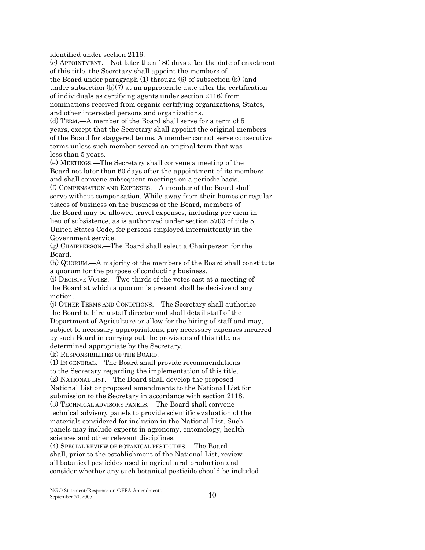identified under section 2116.

(c) APPOINTMENT.—Not later than 180 days after the date of enactment of this title, the Secretary shall appoint the members of the Board under paragraph  $(1)$  through  $(6)$  of subsection  $(b)$  (and under subsection  $(b)(7)$  at an appropriate date after the certification of individuals as certifying agents under section 2116) from nominations received from organic certifying organizations, States, and other interested persons and organizations. (d) TERM,—A member of the Board shall serve for a term of 5 years, except that the Secretary shall appoint the original members of the Board for staggered terms. A member cannot serve consecutive terms unless such member served an original term that was

less than 5 years.

(e) MEETINGS.—The Secretary shall convene a meeting of the Board not later than 60 days after the appointment of its members and shall convene subsequent meetings on a periodic basis.

(f) COMPENSATION AND EXPENSES. A member of the Board shall serve without compensation. While away from their homes or regular places of business on the business of the Board, members of the Board may be allowed travel expenses, including per diem in lieu of subsistence, as is authorized under section 5703 of title 5, United States Code, for persons employed intermittently in the Government service.

(g) CHAIRPERSON.—The Board shall select a Chairperson for the Board.

(h) QUORUM.—A majority of the members of the Board shall constitute a quorum for the purpose of conducting business.

(i) DECISIVE VOTES.—Two-thirds of the votes cast at a meeting of the Board at which a quorum is present shall be decisive of any motion.

(j) OTHER TERMS AND CONDITIONS.—The Secretary shall authorize the Board to hire a staff director and shall detail staff of the Department of Agriculture or allow for the hiring of staff and may, subject to necessary appropriations, pay necessary expenses incurred by such Board in carrying out the provisions of this title, as determined appropriate by the Secretary.

(k) RESPONSIBILITIES OF THE BOARD.

(1) IN GENERAL.—The Board shall provide recommendations to the Secretary regarding the implementation of this title. (2) NATIONAL LIST.—The Board shall develop the proposed National List or proposed amendments to the National List for submission to the Secretary in accordance with section 2118. (3) TECHNICAL ADVISORY PANELS. The Board shall convene technical advisory panels to provide scientific evaluation of the materials considered for inclusion in the National List. Such panels may include experts in agronomy, entomology, health sciences and other relevant disciplines.

(4) SPECIAL REVIEW OF BOTANICAL PESTICIDES. The Board shall, prior to the establishment of the National List, review all botanical pesticides used in agricultural production and consider whether any such botanical pesticide should be included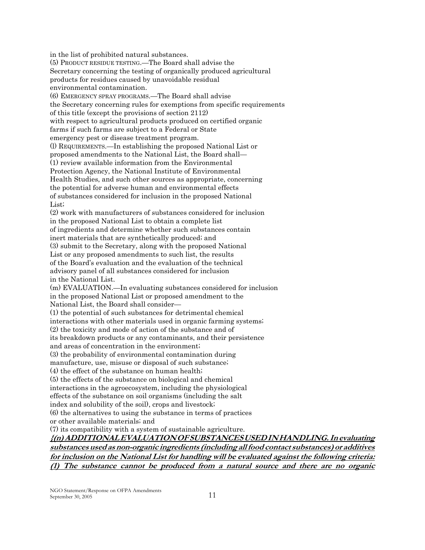in the list of prohibited natural substances. (5) PRODUCT RESIDUE TESTING.—The Board shall advise the Secretary concerning the testing of organically produced agricultural products for residues caused by unavoidable residual environmental contamination. (6) EMERGENCY SPRAY PROGRAMS. The Board shall advise the Secretary concerning rules for exemptions from specific requirements of this title (except the provisions of section 2112) with respect to agricultural products produced on certified organic farms if such farms are subject to a Federal or State emergency pest or disease treatment program. (1) REQUIREMENTS.—In establishing the proposed National List or proposed amendments to the National List, the Board shall-(1) review available information from the Environmental Protection Agency, the National Institute of Environmental Health Studies, and such other sources as appropriate, concerning the potential for adverse human and environmental effects of substances considered for inclusion in the proposed National List; (2) work with manufacturers of substances considered for inclusion in the proposed National List to obtain a complete list of ingredients and determine whether such substances contain inert materials that are synthetically produced; and (3) submit to the Secretary, along with the proposed National List or any proposed amendments to such list, the results of the Board's evaluation and the evaluation of the technical advisory panel of all substances considered for inclusion in the National List. (m) EVALUATION.—In evaluating substances considered for inclusion in the proposed National List or proposed amendment to the National List, the Board shall consider-(1) the potential of such substances for detrimental chemical interactions with other materials used in organic farming systems; (2) the toxicity and mode of action of the substance and of its breakdown products or any contaminants, and their persistence and areas of concentration in the environment. (3) the probability of environmental contamination during manufacture, use, misuse or disposal of such substance; (4) the effect of the substance on human health; (5) the effects of the substance on biological and chemical interactions in the agroecosystem, including the physiological effects of the substance on soil organisms (including the salt index and solubility of the soil), crops and livestock; (6) the alternatives to using the substance in terms of practices or other available materials; and (7) its compatibility with a system of sustainable agriculture. {(n) ADDITIONAL EVALUATION OF SUBSTANCES USED IN HANDLING. In evaluating

substances used as non-organic ingredients (including all food contact substances) or additives for inclusion on the National List for handling will be evaluated against the following criteria: (1) The substance cannot be produced from a natural source and there are no organic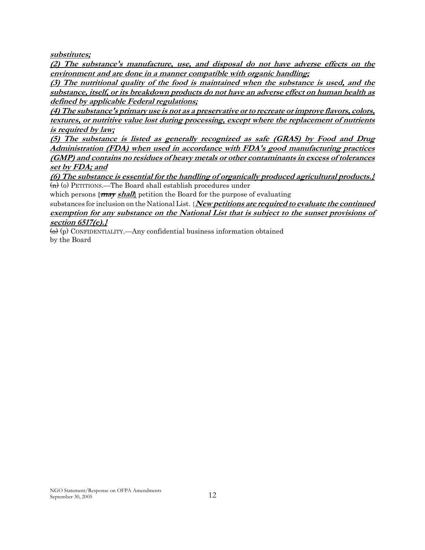substitutes;

(2) The substance's manufacture, use, and disposal do not have adverse effects on the environment and are done in a manner compatible with organic handling;

(3) The nutritional quality of the food is maintained when the substance is used, and the substance, itself, or its breakdown products do not have an adverse effect on human health as defined by applicable Federal regulations;

(4) The substance's primary use is not as a preservative or to recreate or improve flavors, colors, textures, or nutritive value lost during processing, except where the replacement of nutrients *is required by law;* 

(5) The substance is listed as generally recognized as safe (GRAS) by Food and Drug Administration (FDA) when used in accordance with FDA's good manufacturing practices (GMP) and contains no residues of heavy metals or other contaminants in excess of tolerances set by FDA; and

(6) The substance is essential for the handling of organically produced agricultural products.  $\overline{m}$  (o) PETITIONS.—The Board shall establish procedures under

which persons  $\{ \frac{max \, shall} \}$  petition the Board for the purpose of evaluating

substances for inclusion on the National List.  $\{New~petitions are required to evaluate the continued$ exemption for any substance on the National List that is subject to the sunset provisions of section  $6517(e)$ .

 $\leftrightarrow$  (p) CONFIDENTIALITY.—Any confidential business information obtained by the Board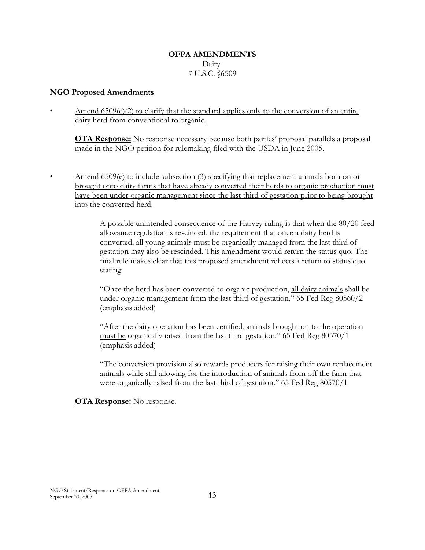## **OFPA AMENDMENTS** Dairy 7 U.S.C. §6509

#### **NGO Proposed Amendments**

Amend  $6509(e)(2)$  to clarify that the standard applies only to the conversion of an entire dairy herd from conventional to organic.

**OTA Response:** No response necessary because both parties' proposal parallels a proposal made in the NGO petition for rulemaking filed with the USDA in June 2005.

Amend  $6509(e)$  to include subsection (3) specifying that replacement animals born on or brought onto dairy farms that have already converted their herds to organic production must have been under organic management since the last third of gestation prior to being brought into the converted herd.

> A possible unintended consequence of the Harvey ruling is that when the 80/20 feed allowance regulation is rescinded, the requirement that once a dairy herd is converted, all young animals must be organically managed from the last third of gestation may also be rescinded. This amendment would return the status quo. The final rule makes clear that this proposed amendment reflects a return to status quo stating:

"Once the herd has been converted to organic production, all dairy animals shall be under organic management from the last third of gestation." 65 Fed Reg 80560/2 (emphasis added)

"After the dairy operation has been certified, animals brought on to the operation must be organically raised from the last third gestation." 65 Fed Reg 80570/1 (emphasis added)

"The conversion provision also rewards producers for raising their own replacement animals while still allowing for the introduction of animals from off the farm that were organically raised from the last third of gestation." 65 Fed Reg 80570/1

#### **OTA Response:** No response.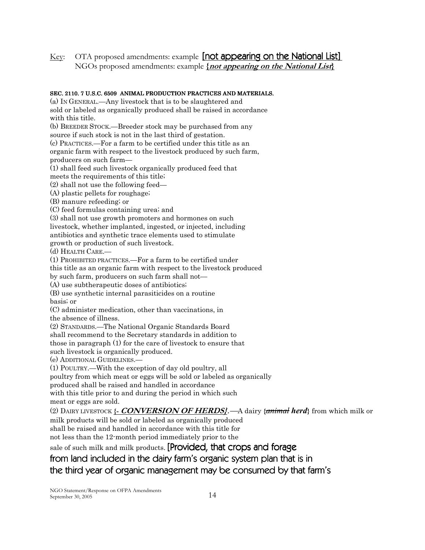OTA proposed amendments: example [not appearing on the National List] Key: NGOs proposed amendments: example *{not appearing on the National List}* 

## SEC. 2110. 7 U.S.C. 6509 ANIMAL PRODUCTION PRACTICES AND MATERIALS.

(a) IN GENERAL.—Any livestock that is to be slaughtered and

sold or labeled as organically produced shall be raised in accordance with this title.

(b) BREEDER STOCK.—Breeder stock may be purchased from any

source if such stock is not in the last third of gestation.

(c) PRACTICES.—For a farm to be certified under this title as an

organic farm with respect to the livestock produced by such farm, producers on such farm-

(1) shall feed such livestock organically produced feed that

meets the requirements of this title;

 $(2)$  shall not use the following feed—

(A) plastic pellets for roughage;

(B) manure refeeding; or

(C) feed formulas containing urea; and

(3) shall not use growth promoters and hormones on such livestock, whether implanted, ingested, or injected, including antibiotics and synthetic trace elements used to stimulate growth or production of such livestock.

(d) HEALTH CARE.

(1) PROHIBITED PRACTICES.—For a farm to be certified under

this title as an organic farm with respect to the livestock produced

by such farm, producers on such farm shall not—

(A) use subtherapeutic doses of antibiotics.

(B) use synthetic internal parasiticides on a routine basis; or

(C) administer medication, other than vaccinations, in

the absence of illness.

(2) STANDARDS.—The National Organic Standards Board

shall recommend to the Secretary standards in addition to

those in paragraph (1) for the care of livestock to ensure that

such livestock is organically produced.

(e) ADDITIONAL GUIDELINES.

(1) POULTRY.—With the exception of day old poultry, all

poultry from which meat or eggs will be sold or labeled as organically

produced shall be raised and handled in accordance

with this title prior to and during the period in which such meat or eggs are sold.

(2) DAIRY LIVESTOCK { CONVERSION OF HERDS}.  $\rightarrow$  dairy {animal herd} from which milk or milk products will be sold or labeled as organically produced shall be raised and handled in accordance with this title for

not less than the 12-month period immediately prior to the

sale of such milk and milk products. [Provided, that crops and forage

# from land included in the dairy farm's organic system plan that is in the third year of organic management may be consumed by that farm's